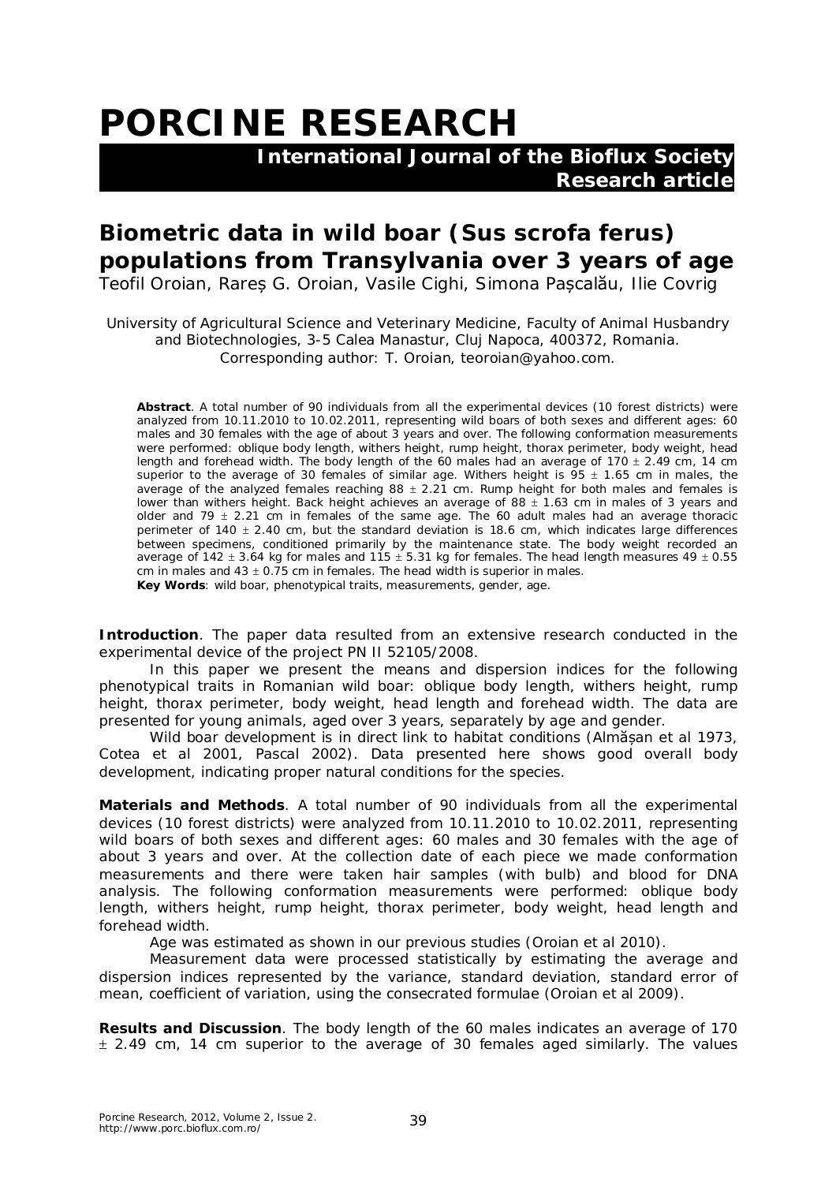## **PORCINE RESEARCH**

 **International Journal of the Bioflux Society Research article**

## **Biometric data in wild boar (***Sus scrofa ferus***) populations from Transylvania over 3 years of age**

Teofil Oroian, Rareș G. Oroian, Vasile Cighi, Simona Pașcalău, Ilie Covrig

University of Agricultural Science and Veterinary Medicine, Faculty of Animal Husbandry and Biotechnologies, 3-5 Calea Manastur, Cluj Napoca, 400372, Romania. Corresponding author: T. Oroian, teoroian@yahoo.com.

**Abstract**. A total number of 90 individuals from all the experimental devices (10 forest districts) were analyzed from 10.11.2010 to 10.02.2011, representing wild boars of both sexes and different ages: 60 males and 30 females with the age of about 3 years and over. The following conformation measurements were performed: oblique body length, withers height, rump height, thorax perimeter, body weight, head length and forehead width. The body length of the 60 males had an average of 170  $\pm$  2.49 cm, 14 cm superior to the average of 30 females of similar age. Withers height is  $95 \pm 1.65$  cm in males, the average of the analyzed females reaching  $88 \pm 2.21$  cm. Rump height for both males and females is lower than withers height. Back height achieves an average of 88  $\pm$  1.63 cm in males of 3 years and older and 79  $\pm$  2.21 cm in females of the same age. The 60 adult males had an average thoracic perimeter of 140  $\pm$  2.40 cm, but the standard deviation is 18.6 cm, which indicates large differences between specimens, conditioned primarily by the maintenance state. The body weight recorded an average of 142  $\pm$  3.64 kg for males and 115  $\pm$  5.31 kg for females. The head length measures 49  $\pm$  0.55 cm in males and  $43 \pm 0.75$  cm in females. The head width is superior in males. **Key Words**: wild boar, phenotypical traits, measurements, gender, age.

**Introduction**. The paper data resulted from an extensive research conducted in the experimental device of the project PN II 52105/2008.

In this paper we present the means and dispersion indices for the following phenotypical traits in Romanian wild boar: oblique body length, withers height, rump height, thorax perimeter, body weight, head length and forehead width. The data are presented for young animals, aged over 3 years, separately by age and gender.

Wild boar development is in direct link to habitat conditions (Almășan et al 1973, Cotea et al 2001, Pascal 2002). Data presented here shows good overall body development, indicating proper natural conditions for the species.

**Materials and Methods**. A total number of 90 individuals from all the experimental devices (10 forest districts) were analyzed from 10.11.2010 to 10.02.2011, representing wild boars of both sexes and different ages: 60 males and 30 females with the age of about 3 years and over. At the collection date of each piece we made conformation measurements and there were taken hair samples (with bulb) and blood for DNA analysis. The following conformation measurements were performed: oblique body length, withers height, rump height, thorax perimeter, body weight, head length and forehead width.

Age was estimated as shown in our previous studies (Oroian et al 2010).

Measurement data were processed statistically by estimating the average and dispersion indices represented by the variance, standard deviation, standard error of mean, coefficient of variation, using the consecrated formulae (Oroian et al 2009).

**Results and Discussion**. The body length of the 60 males indicates an average of 170  $\pm$  2.49 cm, 14 cm superior to the average of 30 females aged similarly. The values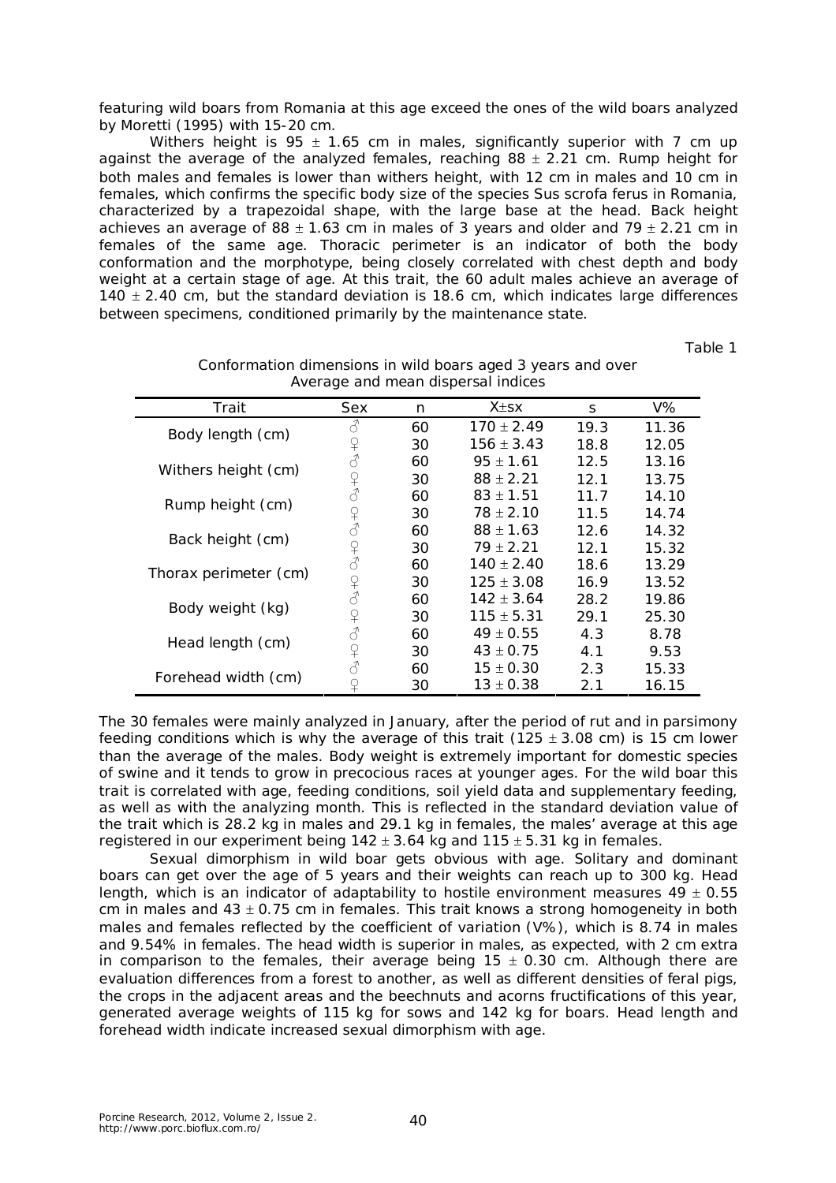featuring wild boars from Romania at this age exceed the ones of the wild boars analyzed by Moretti (1995) with 15-20 cm.

Withers height is 95  $\pm$  1.65 cm in males, significantly superior with 7 cm up against the average of the analyzed females, reaching  $88 \pm 2.21$  cm. Rump height for both males and females is lower than withers height, with 12 cm in males and 10 cm in females, which confirms the specific body size of the species *Sus scrofa ferus* in Romania, characterized by a trapezoidal shape, with the large base at the head. Back height achieves an average of 88  $\pm$  1.63 cm in males of 3 years and older and 79  $\pm$  2.21 cm in females of the same age. Thoracic perimeter is an indicator of both the body conformation and the morphotype, being closely correlated with chest depth and body weight at a certain stage of age. At this trait, the 60 adult males achieve an average of  $140 \pm 2.40$  cm, but the standard deviation is 18.6 cm, which indicates large differences between specimens, conditioned primarily by the maintenance state.

Table 1

|                       | ັ                                                             |    |                |      |       |
|-----------------------|---------------------------------------------------------------|----|----------------|------|-------|
| Trait                 | Sex                                                           | n  | $X + SX$       | S    | V%    |
| Body length (cm)      | 3                                                             | 60 | $170 \pm 2.49$ | 19.3 | 11.36 |
|                       | $\Omega$                                                      | 30 | $156 \pm 3.43$ | 18.8 | 12.05 |
| Withers height (cm)   | $\vec{d}$                                                     | 60 | $95 + 1.61$    | 12.5 | 13.16 |
|                       | $\mathsf{P}$                                                  | 30 | $88 \pm 2.21$  | 12.1 | 13.75 |
| Rump height (cm)      | $\mathcal{S}_{\mathcal{S}}$                                   | 60 | $83 \pm 1.51$  | 11.7 | 14.10 |
|                       | ¥                                                             | 30 | $78 \pm 2.10$  | 11.5 | 14.74 |
| Back height (cm)      | $\mathcal{E}$                                                 | 60 | $88 \pm 1.63$  | 12.6 | 14.32 |
|                       | $\Omega$                                                      | 30 | $79 + 2.21$    | 12.1 | 15.32 |
| Thorax perimeter (cm) | $\vec{C}$                                                     | 60 | $140 \pm 2.40$ | 18.6 | 13.29 |
|                       | $\begin{array}{c} \n\heartsuit \\ \n\heartsuit \n\end{array}$ | 30 | $125 \pm 3.08$ | 16.9 | 13.52 |
| Body weight (kg)      |                                                               | 60 | $142 \pm 3.64$ | 28.2 | 19.86 |
|                       | $\mathsf{P}$                                                  | 30 | $115 \pm 5.31$ | 29.1 | 25.30 |
| Head length (cm)      | $\vec{\mathcal{S}}$                                           | 60 | $49 \pm 0.55$  | 4.3  | 8.78  |
|                       | ¥                                                             | 30 | $43 \pm 0.75$  | 4.1  | 9.53  |
| Forehead width (cm)   | 8                                                             | 60 | $15 \pm 0.30$  | 2.3  | 15.33 |
|                       |                                                               | 30 | $13\pm0.38$    | 2.1  | 16.15 |

Conformation dimensions in wild boars aged 3 years and over Average and mean dispersal indices

The 30 females were mainly analyzed in January, after the period of rut and in parsimony feeding conditions which is why the average of this trait (125  $\pm$  3.08 cm) is 15 cm lower than the average of the males. Body weight is extremely important for domestic species of swine and it tends to grow in precocious races at younger ages. For the wild boar this trait is correlated with age, feeding conditions, soil yield data and supplementary feeding, as well as with the analyzing month. This is reflected in the standard deviation value of the trait which is 28.2 kg in males and 29.1 kg in females, the males' average at this age registered in our experiment being  $142 \pm 3.64$  kg and  $115 \pm 5.31$  kg in females.

Sexual dimorphism in wild boar gets obvious with age. Solitary and dominant boars can get over the age of 5 years and their weights can reach up to 300 kg. Head length, which is an indicator of adaptability to hostile environment measures  $49 \pm 0.55$ cm in males and  $43 \pm 0.75$  cm in females. This trait knows a strong homogeneity in both males and females reflected by the coefficient of variation (V%), which is 8.74 in males and 9.54% in females. The head width is superior in males, as expected, with 2 cm extra in comparison to the females, their average being  $15 \pm 0.30$  cm. Although there are evaluation differences from a forest to another, as well as different densities of feral pigs, the crops in the adjacent areas and the beechnuts and acorns fructifications of this year, generated average weights of 115 kg for sows and 142 kg for boars. Head length and forehead width indicate increased sexual dimorphism with age.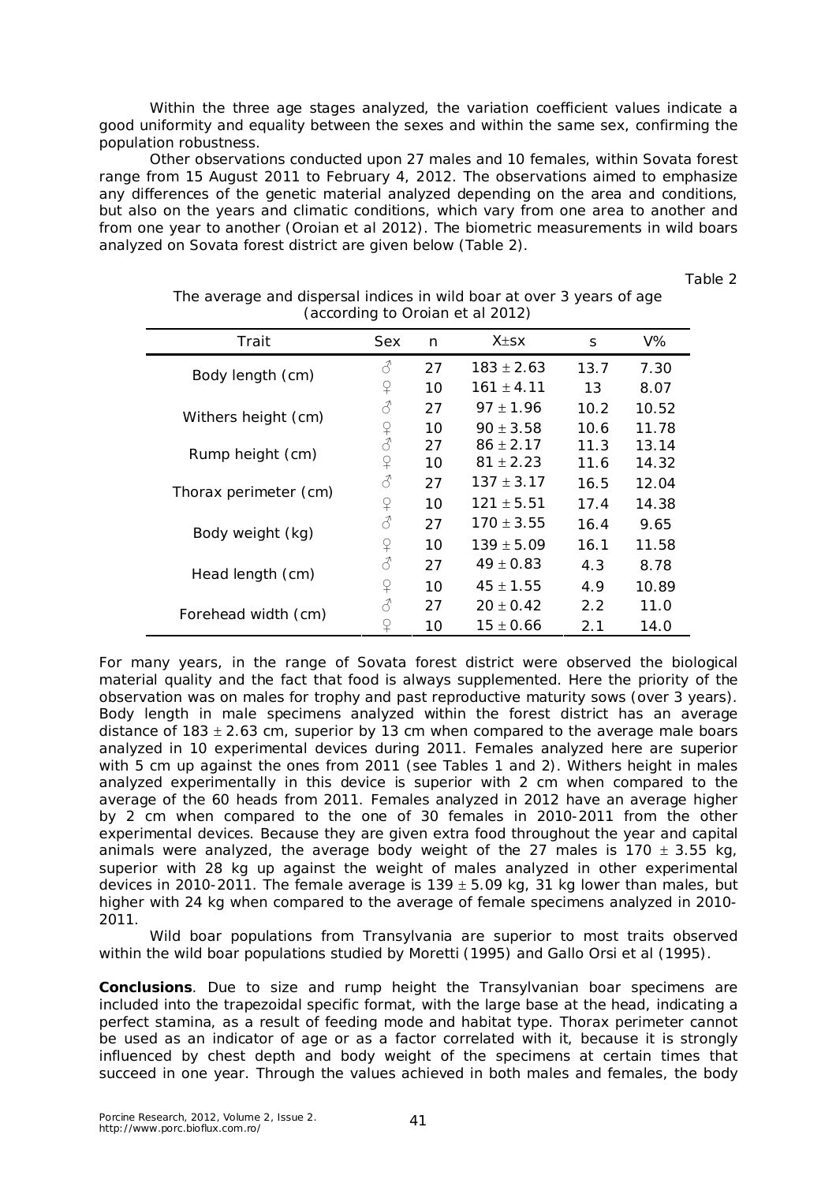Within the three age stages analyzed, the variation coefficient values indicate a good uniformity and equality between the sexes and within the same sex, confirming the population robustness.

Other observations conducted upon 27 males and 10 females, within Sovata forest range from 15 August 2011 to February 4, 2012. The observations aimed to emphasize any differences of the genetic material analyzed depending on the area and conditions, but also on the years and climatic conditions, which vary from one area to another and from one year to another (Oroian et al 2012). The biometric measurements in wild boars analyzed on Sovata forest district are given below (Table 2).

Table 2

| Trait                 | Sex            | n  | $X \pm S X$    | S    | V%    |
|-----------------------|----------------|----|----------------|------|-------|
| Body length (cm)      | 8              | 27 | $183 \pm 2.63$ | 13.7 | 7.30  |
|                       | ¥              | 10 | $161 \pm 4.11$ | 13   | 8.07  |
| Withers height (cm)   | 8              | 27 | $97 \pm 1.96$  | 10.2 | 10.52 |
|                       | $2\lambda$     | 10 | $90 \pm 3.58$  | 10.6 | 11.78 |
| Rump height (cm)      |                | 27 | $86 \pm 2.17$  | 11.3 | 13.14 |
|                       | ♀              | 10 | $81 \pm 2.23$  | 11.6 | 14.32 |
| Thorax perimeter (cm) | 8              | 27 | $137 \pm 3.17$ | 16.5 | 12.04 |
|                       | ₽              | 10 | $121 \pm 5.51$ | 17.4 | 14.38 |
| Body weight (kg)      | $\vec{\delta}$ | 27 | $170 \pm 3.55$ | 16.4 | 9.65  |
|                       | ₽              | 10 | $139 \pm 5.09$ | 16.1 | 11.58 |
| Head length (cm)      | 8              | 27 | $49 \pm 0.83$  | 4.3  | 8.78  |
|                       | ₽              | 10 | $45 \pm 1.55$  | 4.9  | 10.89 |
| Forehead width (cm)   | 8              | 27 | $20 \pm 0.42$  | 2.2  | 11.0  |
|                       | ♀              | 10 | $15 \pm 0.66$  | 2.1  | 14.0  |

The average and dispersal indices in wild boar at over 3 years of age (according to Oroian et al 2012)

For many years, in the range of Sovata forest district were observed the biological material quality and the fact that food is always supplemented. Here the priority of the observation was on males for trophy and past reproductive maturity sows (over 3 years). Body length in male specimens analyzed within the forest district has an average distance of 183  $\pm$  2.63 cm, superior by 13 cm when compared to the average male boars analyzed in 10 experimental devices during 2011. Females analyzed here are superior with 5 cm up against the ones from 2011 (see Tables 1 and 2). Withers height in males analyzed experimentally in this device is superior with 2 cm when compared to the average of the 60 heads from 2011. Females analyzed in 2012 have an average higher by 2 cm when compared to the one of 30 females in 2010-2011 from the other experimental devices. Because they are given extra food throughout the year and capital animals were analyzed, the average body weight of the 27 males is 170  $\pm$  3.55 kg, superior with 28 kg up against the weight of males analyzed in other experimental devices in 2010-2011. The female average is 139  $\pm$  5.09 kg, 31 kg lower than males, but higher with 24 kg when compared to the average of female specimens analyzed in 2010- 2011.

Wild boar populations from Transylvania are superior to most traits observed within the wild boar populations studied by Moretti (1995) and Gallo Orsi et al (1995).

**Conclusions**. Due to size and rump height the Transylvanian boar specimens are included into the trapezoidal specific format, with the large base at the head, indicating a perfect stamina, as a result of feeding mode and habitat type. Thorax perimeter cannot be used as an indicator of age or as a factor correlated with it, because it is strongly influenced by chest depth and body weight of the specimens at certain times that succeed in one year. Through the values achieved in both males and females, the body